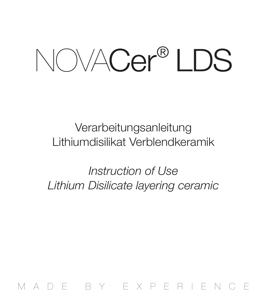NOVACer® LDS

## Verarbeitungsanleitung Lithiumdisilikat Verblendkeramik

*Instruction of Use Lithium Disilicate layering ceramic* 

MADE BY EXPERIENCE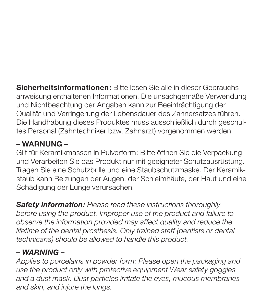**Sicherheitsinformationen:** Bitte lesen Sie alle in dieser Gebrauchsanweisung enthaltenen Informationen. Die unsachgemäße Verwendung und Nichtbeachtung der Angaben kann zur Beeinträchtigung der Qualität und Verringerung der Lebensdauer des Zahnersatzes führen. Die Handhabung dieses Produktes muss ausschließlich durch geschultes Personal (Zahntechniker bzw. Zahnarzt) vorgenommen werden.

#### **– WARNUNG –**

Gilt für Keramikmassen in Pulverform: Bitte öffnen Sie die Verpackung und Verarbeiten Sie das Produkt nur mit geeigneter Schutzausrüstung. Tragen Sie eine Schutzbrille und eine Staubschutzmaske. Der Keramikstaub kann Reizungen der Augen, der Schleimhäute, der Haut und eine Schädigung der Lunge verursachen.

*Safety information: Please read these instructions thoroughly before using the product. Improper use of the product and failure to observe the information provided may affect quality and reduce the lifetime of the dental prosthesis. Only trained staff (dentists or dental technicans) should be allowed to handle this product.*

#### *– WARNING –*

*Applies to porcelains in powder form: Please open the packaging and use the product only with protective equipment Wear safety goggles and a dust mask. Dust particles irritate the eyes, mucous membranes and skin, and injure the lungs.*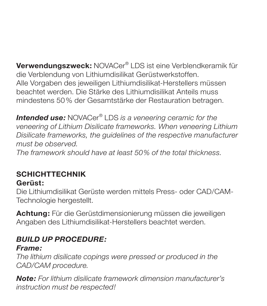**Verwendungszweck:** NOVACer® LDS ist eine Verblendkeramik für die Verblendung von Lithiumdisilikat Gerüstwerkstoffen. Alle Vorgaben des jeweiligen Lithiumdisilikat-Herstellers müssen beachtet werden. Die Stärke des Lithiumdisilikat Anteils muss mindestens 50% der Gesamtstärke der Restauration betragen.

*Intended use:* NOVACer® LDS *is a veneering ceramic for the veneering of Lithium Disilicate frameworks. When veneering Lithium Disilicate frameworks, the guidelines of the respective manufacturer must be observed.*

*The framework should have at least 50% of the total thickness.* 

## **SCHICHTTECHNIK**

#### **Gerüst:**

Die Lithiumdisilikat Gerüste werden mittels Press- oder CAD/CAM-Technologie hergestellt.

**Achtung:** Für die Gerüstdimensionierung müssen die jeweiligen Angaben des Lithiumdisilikat-Herstellers beachtet werden.

### *BUILD UP PROCEDURE:*

#### *Frame:*

*The lithium disilicate copings were pressed or produced in the CAD/CAM procedure.* 

*Note: For lithium disilicate framework dimension manufacturer's instruction must be respected!*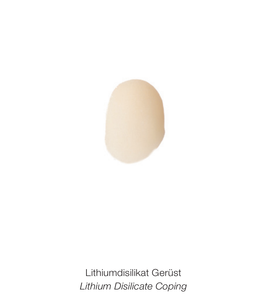

Lithiumdisilikat Gerüst *Lithium Disilicate Coping*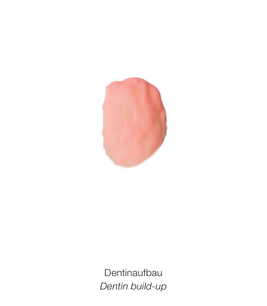

Dentinaufbau *Dentin build-up*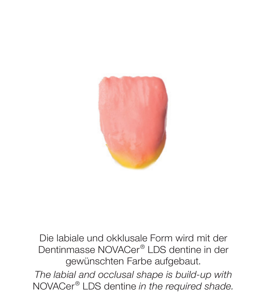

Die labiale und okklusale Form wird mit der Dentinmasse NOVACer® LDS dentine in der gewünschten Farbe aufgebaut.

*The labial and occlusal shape is build-up with* NOVACer® LDS dentine *in the required shade.*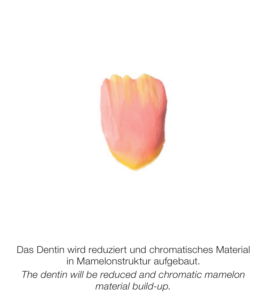

Das Dentin wird reduziert und chromatisches Material in Mamelonstruktur aufgebaut. *The dentin will be reduced and chromatic mamelon material build-up.*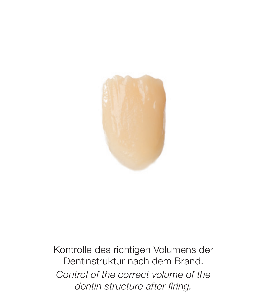

Kontrolle des richtigen Volumens der Dentinstruktur nach dem Brand. *Control of the correct volume of the dentin structure after firing.*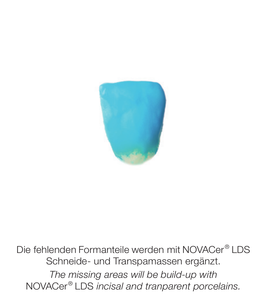

Die fehlenden Formanteile werden mit NOVACer® LDS Schneide- und Transpamassen ergänzt. *The missing areas will be build-up with* NOVACer® LDS *incisal and tranparent porcelains.*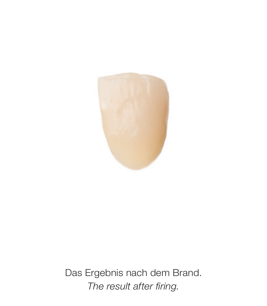

Das Ergebnis nach dem Brand. *The result after firing.*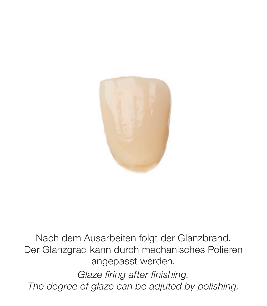

Nach dem Ausarbeiten folgt der Glanzbrand. Der Glanzgrad kann durch mechanisches Polieren angepasst werden. *Glaze firing after finishing.*

*The degree of glaze can be adjuted by polishing.*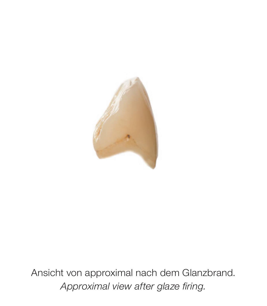

Ansicht von approximal nach dem Glanzbrand. *Approximal view after glaze firing.*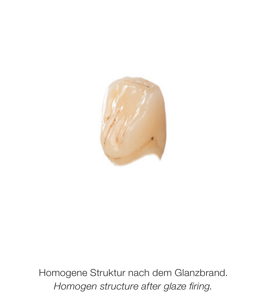

Homogene Struktur nach dem Glanzbrand. *Homogen structure after glaze firing.*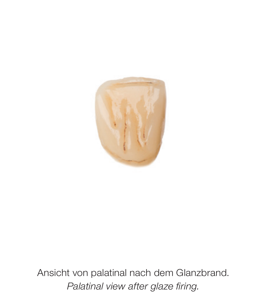

Ansicht von palatinal nach dem Glanzbrand. *Palatinal view after glaze firing.*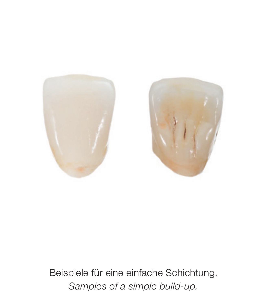

Beispiele für eine einfache Schichtung. *Samples of a simple build-up.*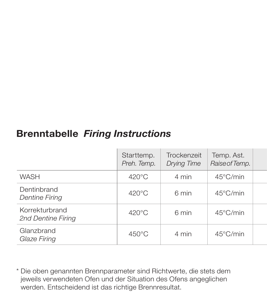## **Brenntabelle** *Firing Instructions*

|                                      | Starttemp.<br>Preh. Temp. | Trockenzeit<br><b>Drying Time</b> | Temp. Ast.<br>Raise of Temp. |  |
|--------------------------------------|---------------------------|-----------------------------------|------------------------------|--|
| WASH                                 | $420^{\circ}$ C           | 4 min                             | $45^{\circ}$ C/min           |  |
| Dentinbrand<br><b>Dentine Firing</b> | $420^{\circ}$ C           | 6 min                             | 45°C/min                     |  |
| Korrekturbrand<br>2nd Dentine Firing | $420^{\circ}$ C           | 6 min                             | 45°C/min                     |  |
| Glanzbrand<br>Glaze Firing           | $450^{\circ}$ C           | 4 min                             | $45^{\circ}$ C/min           |  |

\* Die oben genannten Brennparameter sind Richtwerte, die stets dem jeweils verwendeten Ofen und der Situation des Ofens angeglichen werden. Entscheidend ist das richtige Brennresultat.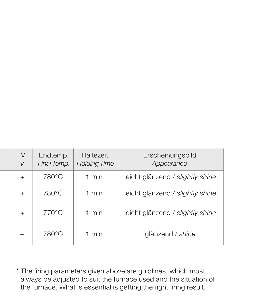| V<br>V                   | Endtemp.<br>Final Temp. | Haltezeit<br><b>Holding Time</b> | Erscheinungsbild<br>Appearance   |
|--------------------------|-------------------------|----------------------------------|----------------------------------|
| $^{+}$                   | 780°C                   | 1 min                            | leicht glänzend / slightly shine |
| $^{+}$                   | 780°C                   | 1 min                            | leicht glänzend / slightly shine |
| $^{+}$                   | 770°C                   | 1 min                            | leicht glänzend / slightly shine |
| $\overline{\phantom{a}}$ | 780°C                   | 1 min                            | glänzend / shine                 |

\* The firing parameters given above are guidlines, which must always be adjusted to suit the furnace used and the situation of the furnace. What is essential is getting the right firing result.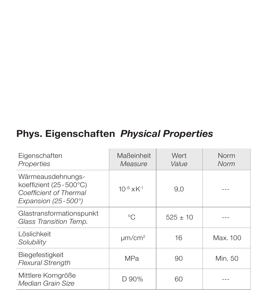## **Phys. Eigenschaften** *Physical Properties*

| Eigenschaften<br>Properties                                                                  | Maßeinheit<br>Measure       | Wert<br>Value | Norm<br>Norm |
|----------------------------------------------------------------------------------------------|-----------------------------|---------------|--------------|
| Wärmeausdehnungs-<br>koeffizient (25-500°C)<br>Coefficient of Thermal<br>Expansion (25-500°) | $10^{-6}$ x K <sup>-1</sup> | 9.0           |              |
| Glastransformationspunkt<br>Glass Transition Temp.                                           | °C                          | $525 + 10$    |              |
| Löslichkeit<br>Solubility                                                                    | $\mu$ m/cm <sup>2</sup>     | 16            | Max. 100     |
| Biegefestigkeit<br><b>Flexural Strength</b>                                                  | <b>MPa</b>                  | 90            | Min. 50      |
| Mittlere Korngröße<br>Median Grain Size                                                      | D 90%                       | 60            |              |